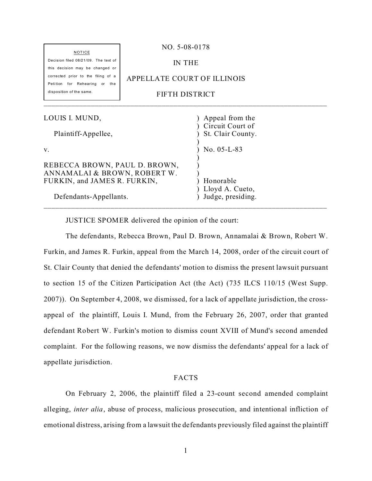| <b>NOTICE</b>                                                           | NO. 5-08-0178               |                                       |  |
|-------------------------------------------------------------------------|-----------------------------|---------------------------------------|--|
| Decision filed 08/21/09. The text of<br>this decision may be changed or | <b>IN THE</b>               |                                       |  |
| corrected prior to the filing of a<br>Petition for Rehearing or the     | APPELLATE COURT OF ILLINOIS |                                       |  |
| disposition of the same.                                                | FIFTH DISTRICT              |                                       |  |
| LOUIS I. MUND,                                                          |                             | Appeal from the                       |  |
| Plaintiff-Appellee,                                                     |                             | Circuit Court of<br>St. Clair County. |  |
| V.                                                                      |                             | No. $05-L-83$                         |  |
| REBECCA BROWN, PAUL D. BROWN,<br>ANNAMALAI & BROWN, ROBERT W.           |                             |                                       |  |
| FURKIN, and JAMES R. FURKIN,                                            |                             | Honorable<br>Lloyd A. Cueto,          |  |
| Defendants-Appellants.                                                  |                             | Judge, presiding.                     |  |

\_\_\_\_\_\_\_\_\_\_\_\_\_\_\_\_\_\_\_\_\_\_\_\_\_\_\_\_\_\_\_\_\_\_\_\_\_\_\_\_\_\_\_\_\_\_\_\_\_\_\_\_\_\_\_\_\_\_\_\_\_\_\_\_\_\_\_\_\_\_\_\_

JUSTICE SPOMER delivered the opinion of the court:

The defendants, Rebecca Brown, Paul D. Brown, Annamalai & Brown, Robert W. Furkin, and James R. Furkin, appeal from the March 14, 2008, order of the circuit court of St. Clair County that denied the defendants' motion to dismiss the present lawsuit pursuant to section 15 of the Citizen Participation Act (the Act) (735 ILCS 110/15 (West Supp. 2007)). On September 4, 2008, we dismissed, for a lack of appellate jurisdiction, the crossappeal of the plaintiff, Louis I. Mund, from the February 26, 2007, order that granted defendant Robert W. Furkin's motion to dismiss count XVIII of Mund's second amended complaint. For the following reasons, we now dismiss the defendants' appeal for a lack of appellate jurisdiction.

### FACTS

On February 2, 2006, the plaintiff filed a 23-count second amended complaint alleging, *inter alia*, abuse of process, malicious prosecution, and intentional infliction of emotional distress, arising from a lawsuit the defendants previously filed against the plaintiff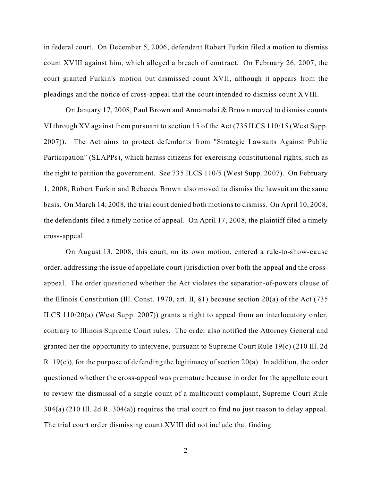in federal court. On December 5, 2006, defendant Robert Furkin filed a motion to dismiss count XVIII against him, which alleged a breach of contract. On February 26, 2007, the court granted Furkin's motion but dismissed count XVII, although it appears from the pleadings and the notice of cross-appeal that the court intended to dismiss count XVIII.

On January 17, 2008, Paul Brown and Annamalai & Brown moved to dismiss counts VI through XV against them pursuant to section 15 of the Act (735 ILCS 110/15 (West Supp. 2007)). The Act aims to protect defendants from "Strategic Lawsuits Against Public Participation" (SLAPPs), which harass citizens for exercising constitutional rights, such as the right to petition the government. See 735 ILCS 110/5 (West Supp. 2007). On February 1, 2008, Robert Furkin and Rebecca Brown also moved to dismiss the lawsuit on the same basis. On March 14, 2008, the trial court denied both motions to dismiss. On April 10, 2008, the defendants filed a timely notice of appeal. On April 17, 2008, the plaintiff filed a timely cross-appeal.

On August 13, 2008, this court, on its own motion, entered a rule-to-show-cause order, addressing the issue of appellate court jurisdiction over both the appeal and the crossappeal. The order questioned whether the Act violates the separation-of-powers clause of the Illinois Constitution (Ill. Const. 1970, art. II, §1) because section 20(a) of the Act (735 ILCS 110/20(a) (West Supp. 2007)) grants a right to appeal from an interlocutory order, contrary to Illinois Supreme Court rules. The order also notified the Attorney General and granted her the opportunity to intervene, pursuant to Supreme Court Rule 19(c) (210 Ill. 2d R. 19(c)), for the purpose of defending the legitimacy of section 20(a). In addition, the order questioned whether the cross-appeal was premature because in order for the appellate court to review the dismissal of a single count of a multicount complaint, Supreme Court Rule 304(a) (210 Ill. 2d R. 304(a)) requires the trial court to find no just reason to delay appeal. The trial court order dismissing count XVIII did not include that finding.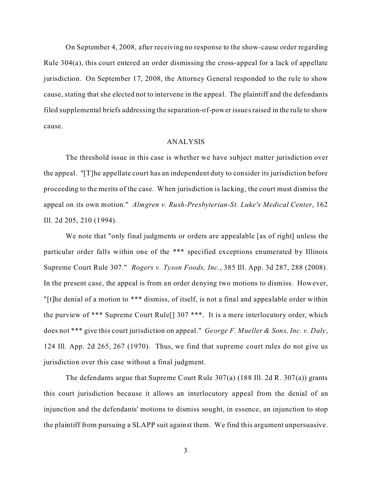On September 4, 2008, after receiving no response to the show-cause order regarding Rule 304(a), this court entered an order dismissing the cross-appeal for a lack of appellate jurisdiction. On September 17, 2008, the Attorney General responded to the rule to show cause, stating that she elected not to intervene in the appeal. The plaintiff and the defendants filed supplemental briefs addressing the separation-of-power issues raised in the rule to show cause.

#### ANALYSIS

The threshold issue in this case is whether we have subject matter jurisdiction over the appeal. "[T]he appellate court has an independent duty to consider its jurisdiction before proceeding to the merits of the case. When jurisdiction is lacking, the court must dismiss the appeal on its own motion." *Almgren v. Rush-Presbyterian-St. Luke's Medical Center*, 162 Ill. 2d 205, 210 (1994).

We note that "only final judgments or orders are appealable [as of right] unless the particular order falls within one of the \*\*\* specified exceptions enumerated by Illinois Supreme Court Rule 307." *Rogers v. Tyson Foods, Inc.*, 385 Ill. App. 3d 287, 288 (2008). In the present case, the appeal is from an order denying two motions to dismiss. However, "[t]he denial of a motion to \*\*\* dismiss, of itself, is not a final and appealable order within the purview of \*\*\* Supreme Court Rule[] 307 \*\*\*. It is a mere interlocutory order, which does not \*\*\* give this court jurisdiction on appeal." *George F. Mueller & Sons, Inc. v. Daly*, 124 Ill. App. 2d 265, 267 (1970). Thus, we find that supreme court rules do not give us jurisdiction over this case without a final judgment.

The defendants argue that Supreme Court Rule 307(a) (188 Ill. 2d R. 307(a)) grants this court jurisdiction because it allows an interlocutory appeal from the denial of an injunction and the defendants' motions to dismiss sought, in essence, an injunction to stop the plaintiff from pursuing a SLAPP suit against them. We find this argument unpersuasive.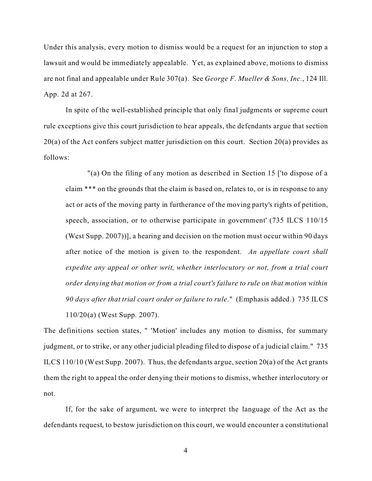Under this analysis, every motion to dismiss would be a request for an injunction to stop a lawsuit and would be immediately appealable. Yet, as explained above, motions to dismiss are not final and appealable under Rule 307(a). See *George F. Mueller & Sons, Inc.*, 124 Ill. App. 2d at 267.

In spite of the well-established principle that only final judgments or supreme court rule exceptions give this court jurisdiction to hear appeals, the defendants argue that section  $20(a)$  of the Act confers subject matter jurisdiction on this court. Section  $20(a)$  provides as follows:

"(a) On the filing of any motion as described in Section 15 ['to dispose of a claim \*\*\* on the grounds that the claim is based on, relates to, or is in response to any act or acts of the moving party in furtherance of the moving party's rights of petition, speech, association, or to otherwise participate in government' (735 ILCS 110/15 (West Supp. 2007))], a hearing and decision on the motion must occur within 90 days after notice of the motion is given to the respondent. *An appellate court shall expedite any appeal or other writ, whether interlocutory or not, from a trial court order denying that motion or from a trial court's failure to rule on that motion within 90 days after that trial court order or failure to rule*." (Emphasis added.) 735 ILCS 110/20(a) (West Supp. 2007).

The definitions section states, " 'Motion' includes any motion to dismiss, for summary judgment, or to strike, or any other judicial pleading filed to dispose of a judicial claim." 735 ILCS 110/10 (West Supp. 2007). Thus, the defendants argue, section 20(a) of the Act grants them the right to appeal the order denying their motions to dismiss, whether interlocutory or not.

If, for the sake of argument, we were to interpret the language of the Act as the defendants request, to bestow jurisdiction on this court, we would encounter a constitutional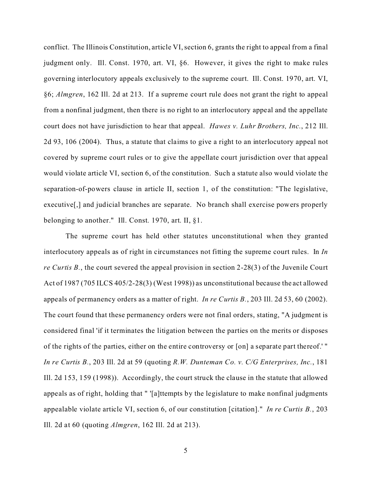conflict. The Illinois Constitution, article VI, section 6, grants the right to appeal from a final judgment only. Ill. Const. 1970, art. VI, §6. However, it gives the right to make rules governing interlocutory appeals exclusively to the supreme court. Ill. Const. 1970, art. VI, §6; *Almgren*, 162 Ill. 2d at 213. If a supreme court rule does not grant the right to appeal from a nonfinal judgment, then there is no right to an interlocutory appeal and the appellate court does not have jurisdiction to hear that appeal. *Hawes v. Luhr Brothers, Inc.*, 212 Ill. 2d 93, 106 (2004). Thus, a statute that claims to give a right to an interlocutory appeal not covered by supreme court rules or to give the appellate court jurisdiction over that appeal would violate article VI, section 6, of the constitution. Such a statute also would violate the separation-of-powers clause in article II, section 1, of the constitution: "The legislative, executive<sup>[,]</sup> and judicial branches are separate. No branch shall exercise powers properly belonging to another." Ill. Const. 1970, art. II, §1.

The supreme court has held other statutes unconstitutional when they granted interlocutory appeals as of right in circumstances not fitting the supreme court rules. In *In re Curtis B.*, the court severed the appeal provision in section 2-28(3) of the Juvenile Court Act of 1987 (705 ILCS 405/2-28(3) (West 1998)) as unconstitutional because the act allowed appeals of permanency orders as a matter of right. *In re Curtis B.*, 203 Ill. 2d 53, 60 (2002). The court found that these permanency orders were not final orders, stating, "A judgment is considered final 'if it terminates the litigation between the parties on the merits or disposes of the rights of the parties, either on the entire controversy or [on] a separate part thereof.' " *In re Curtis B.*, 203 Ill. 2d at 59 (quoting *R.W. Dunteman Co. v. C/G Enterprises, Inc.*, 181 Ill. 2d 153, 159 (1998)). Accordingly, the court struck the clause in the statute that allowed appeals as of right, holding that " '[a]ttempts by the legislature to make nonfinal judgments appealable violate article VI, section 6, of our constitution [citation]." *In re Curtis B.*, 203 Ill. 2d at 60 (quoting *Almgren*, 162 Ill. 2d at 213).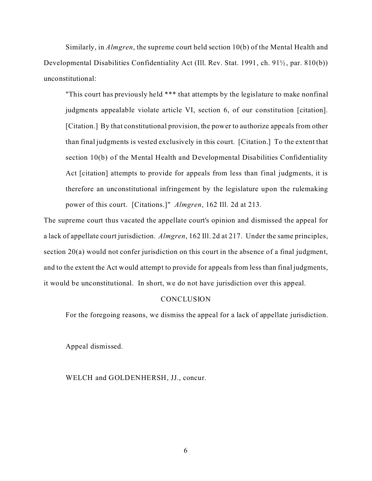Similarly, in *Almgren*, the supreme court held section 10(b) of the Mental Health and Developmental Disabilities Confidentiality Act (Ill. Rev. Stat. 1991, ch. 91½, par. 810(b)) unconstitutional:

"This court has previously held \*\*\* that attempts by the legislature to make nonfinal judgments appealable violate article VI, section 6, of our constitution [citation]. [Citation.] By that constitutional provision, the power to authorize appeals from other than final judgments is vested exclusively in this court. [Citation.] To the extent that section 10(b) of the Mental Health and Developmental Disabilities Confidentiality Act [citation] attempts to provide for appeals from less than final judgments, it is therefore an unconstitutional infringement by the legislature upon the rulemaking power of this court. [Citations.]" *Almgren*, 162 Ill. 2d at 213.

The supreme court thus vacated the appellate court's opinion and dismissed the appeal for a lack of appellate court jurisdiction. *Almgren*, 162 Ill. 2d at 217. Under the same principles, section 20(a) would not confer jurisdiction on this court in the absence of a final judgment, and to the extent the Act would attempt to provide for appeals from less than final judgments, it would be unconstitutional. In short, we do not have jurisdiction over this appeal.

#### **CONCLUSION**

For the foregoing reasons, we dismiss the appeal for a lack of appellate jurisdiction.

Appeal dismissed.

WELCH and GOLDENHERSH, JJ., concur.